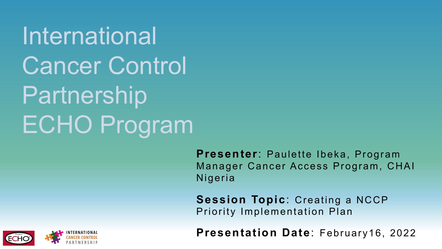**International** Cancer Control **Partnership** ECHO Program

> **Presenter**: Paulette Ibeka, Program Manager Cancer Access Program, CHAI Nigeria

**Session Topic**: Creating a NCCP Priority Implementation Plan

**Presentation Date**: February16, 2022

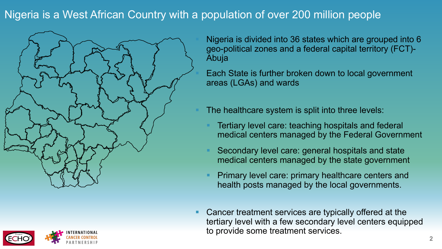## Nigeria is a West African Country with a population of over 200 million people





§ Nigeria is divided into 36 states which are grouped into 6 geo-political zones and a federal capital territory (FCT)- Abuja

Each State is further broken down to local government areas (LGAs) and wards

The healthcare system is split into three levels:

- Tertiary level care: teaching hospitals and federal medical centers managed by the Federal Government
- § Secondary level care: general hospitals and state medical centers managed by the state government
- § Primary level care: primary healthcare centers and health posts managed by the local governments.
- Cancer treatment services are typically offered at the tertiary level with a few secondary level centers equipped to provide some treatment services.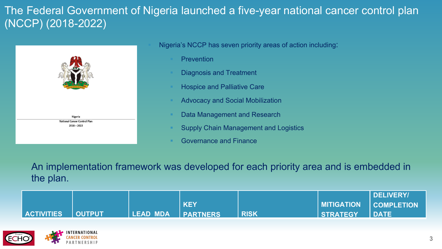## The Federal Government of Nigeria launched a five-year national cancer control plan (NCCP) (2018-2022)



Nigeria's NCCP has seven priority areas of action including:

- **Prevention**
- § Diagnosis and Treatment
- § Hospice and Palliative Care
- § Advocacy and Social Mobilization
- Data Management and Research
- § Supply Chain Management and Logistics
- § Governance and Finance

An implementation framework was developed for each priority area and is embedded in the plan.

|                |                   |                   |            |             |                          | DELIVERY/     |
|----------------|-------------------|-------------------|------------|-------------|--------------------------|---------------|
|                |                   |                   | <b>KEY</b> |             | MITIGATION    COMPLETION |               |
| I ACTIVITIES I | <b>/   OUTPUT</b> | LEAD MDA PARTNERS |            | <b>RISK</b> | <b>STRATEGY</b>          | <b>I DATE</b> |

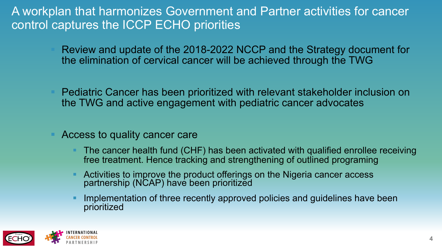## A workplan that harmonizes Government and Partner activities for cancer control captures the ICCP ECHO priorities

- § Review and update of the 2018-2022 NCCP and the Strategy document for the elimination of cervical cancer will be achieved through the TWG
- § Pediatric Cancer has been prioritized with relevant stakeholder inclusion on the TWG and active engagement with pediatric cancer advocates
- § Access to quality cancer care
	- § The cancer health fund (CHF) has been activated with qualified enrollee receiving free treatment. Hence tracking and strengthening of outlined programing
	- § Activities to improve the product offerings on the Nigeria cancer access partnership (NCAP) have been prioritized
	- Implementation of three recently approved policies and guidelines have been prioritized

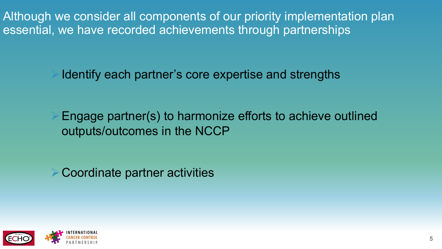Although we consider all components of our priority implementation plan essential, we have recorded achievements through partnerships

Identify each partner's core expertise and strengths

Engage partner(s) to harmonize efforts to achieve outlined outputs/outcomes in the NCCP

ØCoordinate partner activities

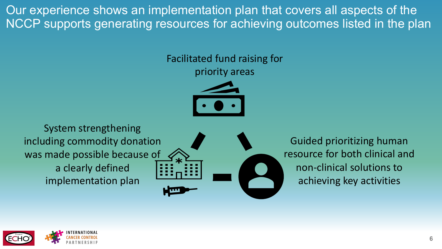Our experience shows an implementation plan that covers all aspects of the NCCP supports generating resources for achieving outcomes listed in the plan

Facilitated fund raising for

priority areas



System strengthening including commodity donation was made possible because of a clearly defined implementation plan

Guided prioritizing human resource for both clinical and non-clinical solutions to achieving key activities